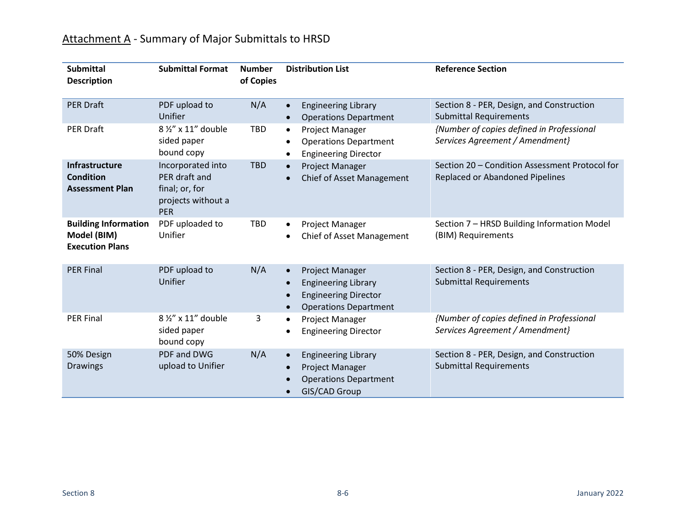| <b>Submittal</b><br><b>Description</b>                               | <b>Submittal Format</b>                                                           | <b>Number</b><br>of Copies | <b>Distribution List</b>                                                                                                  | <b>Reference Section</b>                                                          |
|----------------------------------------------------------------------|-----------------------------------------------------------------------------------|----------------------------|---------------------------------------------------------------------------------------------------------------------------|-----------------------------------------------------------------------------------|
| <b>PER Draft</b>                                                     | PDF upload to<br>Unifier                                                          | N/A                        | <b>Engineering Library</b><br><b>Operations Department</b>                                                                | Section 8 - PER, Design, and Construction<br><b>Submittal Requirements</b>        |
| <b>PER Draft</b>                                                     | $8\frac{1}{2}$ x 11" double<br>sided paper<br>bound copy                          | <b>TBD</b>                 | <b>Project Manager</b><br>$\bullet$<br><b>Operations Department</b><br><b>Engineering Director</b>                        | {Number of copies defined in Professional<br>Services Agreement / Amendment}      |
| <b>Infrastructure</b><br><b>Condition</b><br><b>Assessment Plan</b>  | Incorporated into<br>PER draft and<br>final; or, for<br>projects without a<br>PER | <b>TBD</b>                 | Project Manager<br><b>Chief of Asset Management</b>                                                                       | Section 20 - Condition Assessment Protocol for<br>Replaced or Abandoned Pipelines |
| <b>Building Information</b><br>Model (BIM)<br><b>Execution Plans</b> | PDF uploaded to<br>Unifier                                                        | <b>TBD</b>                 | Project Manager<br><b>Chief of Asset Management</b>                                                                       | Section 7 - HRSD Building Information Model<br>(BIM) Requirements                 |
| <b>PER Final</b>                                                     | PDF upload to<br>Unifier                                                          | N/A                        | Project Manager<br>$\bullet$<br><b>Engineering Library</b><br><b>Engineering Director</b><br><b>Operations Department</b> | Section 8 - PER, Design, and Construction<br><b>Submittal Requirements</b>        |
| <b>PER Final</b>                                                     | 8 1/2" x 11" double<br>sided paper<br>bound copy                                  | 3                          | Project Manager<br><b>Engineering Director</b>                                                                            | {Number of copies defined in Professional<br>Services Agreement / Amendment}      |
| 50% Design<br><b>Drawings</b>                                        | PDF and DWG<br>upload to Unifier                                                  | N/A                        | <b>Engineering Library</b><br>Project Manager<br><b>Operations Department</b><br>GIS/CAD Group                            | Section 8 - PER, Design, and Construction<br><b>Submittal Requirements</b>        |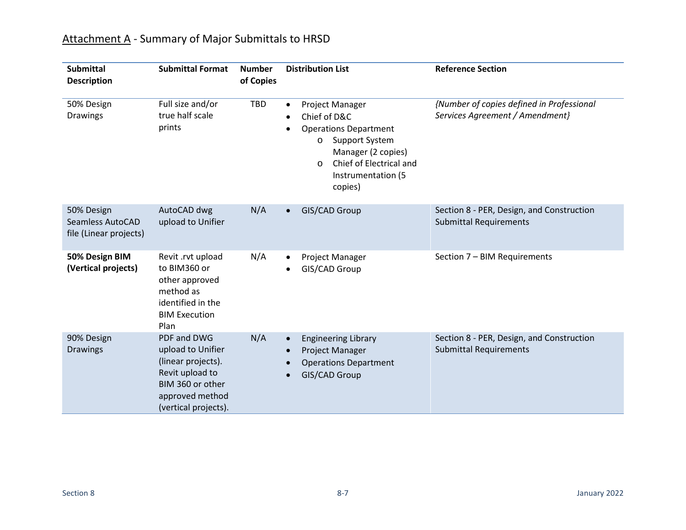| <b>Submittal</b><br><b>Description</b>                          | <b>Submittal Format</b>                                                                                                                  | <b>Number</b><br>of Copies | <b>Distribution List</b>                                                                                                                                                                               | <b>Reference Section</b>                                                     |
|-----------------------------------------------------------------|------------------------------------------------------------------------------------------------------------------------------------------|----------------------------|--------------------------------------------------------------------------------------------------------------------------------------------------------------------------------------------------------|------------------------------------------------------------------------------|
| 50% Design<br><b>Drawings</b>                                   | Full size and/or<br>true half scale<br>prints                                                                                            | <b>TBD</b>                 | Project Manager<br>$\bullet$<br>Chief of D&C<br><b>Operations Department</b><br>Support System<br>$\circ$<br>Manager (2 copies)<br>Chief of Electrical and<br>$\circ$<br>Instrumentation (5<br>copies) | {Number of copies defined in Professional<br>Services Agreement / Amendment} |
| 50% Design<br><b>Seamless AutoCAD</b><br>file (Linear projects) | AutoCAD dwg<br>upload to Unifier                                                                                                         | N/A                        | GIS/CAD Group                                                                                                                                                                                          | Section 8 - PER, Design, and Construction<br><b>Submittal Requirements</b>   |
| 50% Design BIM<br>(Vertical projects)                           | Revit .rvt upload<br>to BIM360 or<br>other approved<br>method as<br>identified in the<br><b>BIM Execution</b><br>Plan                    | N/A                        | Project Manager<br>GIS/CAD Group                                                                                                                                                                       | Section 7 - BIM Requirements                                                 |
| 90% Design<br><b>Drawings</b>                                   | PDF and DWG<br>upload to Unifier<br>(linear projects).<br>Revit upload to<br>BIM 360 or other<br>approved method<br>(vertical projects). | N/A                        | <b>Engineering Library</b><br>$\bullet$<br>Project Manager<br><b>Operations Department</b><br><b>GIS/CAD Group</b>                                                                                     | Section 8 - PER, Design, and Construction<br><b>Submittal Requirements</b>   |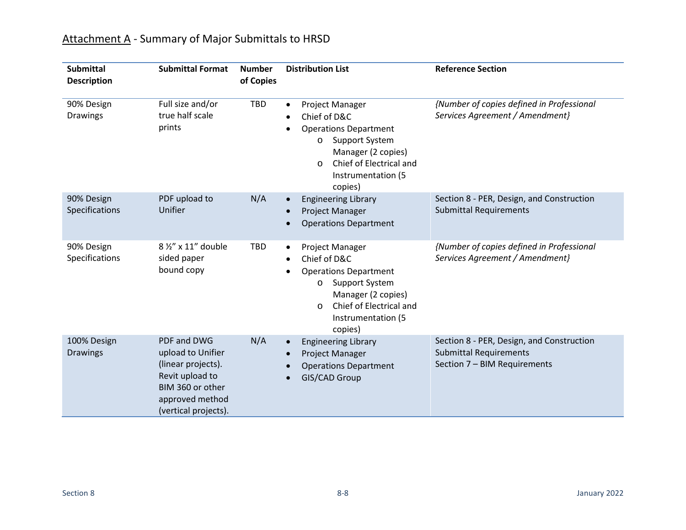| <b>Submittal</b><br><b>Description</b> | <b>Submittal Format</b>                                                                                                                  | <b>Number</b><br>of Copies | <b>Distribution List</b>                                                                                                                                                                   | <b>Reference Section</b>                                                                                   |
|----------------------------------------|------------------------------------------------------------------------------------------------------------------------------------------|----------------------------|--------------------------------------------------------------------------------------------------------------------------------------------------------------------------------------------|------------------------------------------------------------------------------------------------------------|
| 90% Design<br><b>Drawings</b>          | Full size and/or<br>true half scale<br>prints                                                                                            | <b>TBD</b>                 | Project Manager<br>Chief of D&C<br><b>Operations Department</b><br><b>Support System</b><br>O<br>Manager (2 copies)<br>Chief of Electrical and<br>$\circ$<br>Instrumentation (5<br>copies) | {Number of copies defined in Professional<br>Services Agreement / Amendment}                               |
| 90% Design<br>Specifications           | PDF upload to<br>Unifier                                                                                                                 | N/A                        | <b>Engineering Library</b><br><b>Project Manager</b><br><b>Operations Department</b>                                                                                                       | Section 8 - PER, Design, and Construction<br><b>Submittal Requirements</b>                                 |
| 90% Design<br>Specifications           | 8 1/2" x 11" double<br>sided paper<br>bound copy                                                                                         | <b>TBD</b>                 | Project Manager<br>Chief of D&C<br><b>Operations Department</b><br>Support System<br>O<br>Manager (2 copies)<br>Chief of Electrical and<br>O<br>Instrumentation (5<br>copies)              | {Number of copies defined in Professional<br>Services Agreement / Amendment}                               |
| 100% Design<br><b>Drawings</b>         | PDF and DWG<br>upload to Unifier<br>(linear projects).<br>Revit upload to<br>BIM 360 or other<br>approved method<br>(vertical projects). | N/A                        | <b>Engineering Library</b><br>Project Manager<br><b>Operations Department</b><br><b>GIS/CAD Group</b>                                                                                      | Section 8 - PER, Design, and Construction<br><b>Submittal Requirements</b><br>Section 7 - BIM Requirements |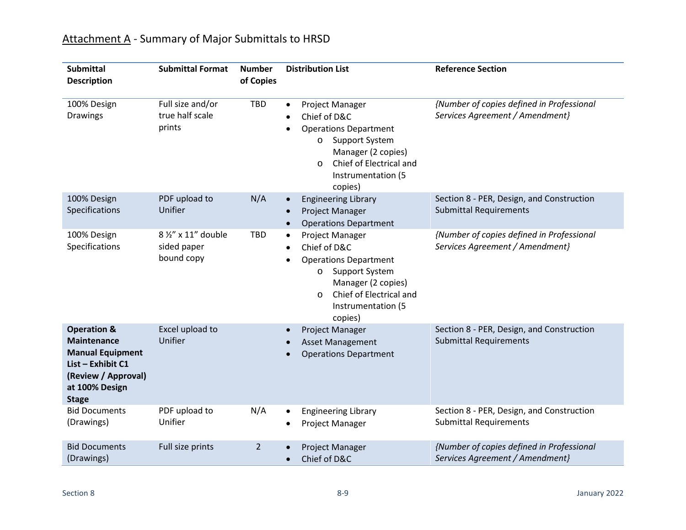| <b>Submittal</b><br><b>Description</b>                                                                                                                | <b>Submittal Format</b>                          | <b>Number</b><br>of Copies | <b>Distribution List</b>                                                                                                                                                                               | <b>Reference Section</b>                                                     |
|-------------------------------------------------------------------------------------------------------------------------------------------------------|--------------------------------------------------|----------------------------|--------------------------------------------------------------------------------------------------------------------------------------------------------------------------------------------------------|------------------------------------------------------------------------------|
| 100% Design<br>Drawings                                                                                                                               | Full size and/or<br>true half scale<br>prints    | <b>TBD</b>                 | Project Manager<br>$\bullet$<br>Chief of D&C<br><b>Operations Department</b><br>Support System<br>$\circ$<br>Manager (2 copies)<br>Chief of Electrical and<br>$\circ$<br>Instrumentation (5<br>copies) | {Number of copies defined in Professional<br>Services Agreement / Amendment} |
| 100% Design<br>Specifications                                                                                                                         | PDF upload to<br>Unifier                         | N/A                        | <b>Engineering Library</b><br>$\bullet$<br><b>Project Manager</b><br>$\bullet$<br><b>Operations Department</b><br>$\bullet$                                                                            | Section 8 - PER, Design, and Construction<br><b>Submittal Requirements</b>   |
| 100% Design<br>Specifications                                                                                                                         | 8 1/2" x 11" double<br>sided paper<br>bound copy | <b>TBD</b>                 | Project Manager<br>$\bullet$<br>Chief of D&C<br><b>Operations Department</b><br>Support System<br>$\circ$<br>Manager (2 copies)<br>Chief of Electrical and<br>$\circ$<br>Instrumentation (5<br>copies) | {Number of copies defined in Professional<br>Services Agreement / Amendment} |
| <b>Operation &amp;</b><br><b>Maintenance</b><br><b>Manual Equipment</b><br>List - Exhibit C1<br>(Review / Approval)<br>at 100% Design<br><b>Stage</b> | Excel upload to<br>Unifier                       |                            | Project Manager<br><b>Asset Management</b><br><b>Operations Department</b>                                                                                                                             | Section 8 - PER, Design, and Construction<br><b>Submittal Requirements</b>   |
| <b>Bid Documents</b><br>(Drawings)                                                                                                                    | PDF upload to<br>Unifier                         | N/A                        | <b>Engineering Library</b><br>Project Manager                                                                                                                                                          | Section 8 - PER, Design, and Construction<br><b>Submittal Requirements</b>   |
| <b>Bid Documents</b><br>(Drawings)                                                                                                                    | Full size prints                                 | $\overline{2}$             | Project Manager<br>Chief of D&C                                                                                                                                                                        | {Number of copies defined in Professional<br>Services Agreement / Amendment} |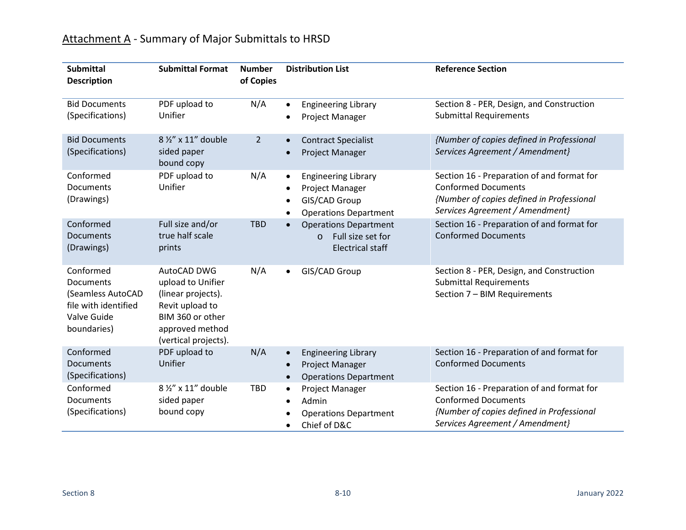| <b>Submittal</b><br><b>Description</b>                                                                   | <b>Submittal Format</b>                                                                                                                  | <b>Number</b><br>of Copies | <b>Distribution List</b>                                                                                                 | <b>Reference Section</b>                                                                                                                                 |
|----------------------------------------------------------------------------------------------------------|------------------------------------------------------------------------------------------------------------------------------------------|----------------------------|--------------------------------------------------------------------------------------------------------------------------|----------------------------------------------------------------------------------------------------------------------------------------------------------|
| <b>Bid Documents</b><br>(Specifications)                                                                 | PDF upload to<br>Unifier                                                                                                                 | N/A                        | <b>Engineering Library</b><br>$\bullet$<br>Project Manager                                                               | Section 8 - PER, Design, and Construction<br><b>Submittal Requirements</b>                                                                               |
| <b>Bid Documents</b><br>(Specifications)                                                                 | 8 1/2" x 11" double<br>sided paper<br>bound copy                                                                                         | $\overline{2}$             | <b>Contract Specialist</b><br>Project Manager                                                                            | {Number of copies defined in Professional<br>Services Agreement / Amendment}                                                                             |
| Conformed<br>Documents<br>(Drawings)                                                                     | PDF upload to<br>Unifier                                                                                                                 | N/A                        | <b>Engineering Library</b><br>$\bullet$<br>Project Manager<br>GIS/CAD Group<br>$\bullet$<br><b>Operations Department</b> | Section 16 - Preparation of and format for<br><b>Conformed Documents</b><br>{Number of copies defined in Professional<br>Services Agreement / Amendment} |
| Conformed<br>Documents<br>(Drawings)                                                                     | Full size and/or<br>true half scale<br>prints                                                                                            | <b>TBD</b>                 | <b>Operations Department</b><br>Full size set for<br>$\circ$<br><b>Electrical staff</b>                                  | Section 16 - Preparation of and format for<br><b>Conformed Documents</b>                                                                                 |
| Conformed<br><b>Documents</b><br>(Seamless AutoCAD<br>file with identified<br>Valve Guide<br>boundaries) | AutoCAD DWG<br>upload to Unifier<br>(linear projects).<br>Revit upload to<br>BIM 360 or other<br>approved method<br>(vertical projects). | N/A                        | GIS/CAD Group<br>$\bullet$                                                                                               | Section 8 - PER, Design, and Construction<br><b>Submittal Requirements</b><br>Section 7 - BIM Requirements                                               |
| Conformed<br>Documents<br>(Specifications)                                                               | PDF upload to<br>Unifier                                                                                                                 | N/A                        | <b>Engineering Library</b><br>$\bullet$<br>Project Manager<br><b>Operations Department</b><br>$\bullet$                  | Section 16 - Preparation of and format for<br><b>Conformed Documents</b>                                                                                 |
| Conformed<br>Documents<br>(Specifications)                                                               | 8 1/2" x 11" double<br>sided paper<br>bound copy                                                                                         | <b>TBD</b>                 | Project Manager<br>$\bullet$<br>Admin<br><b>Operations Department</b><br>Chief of D&C<br>$\bullet$                       | Section 16 - Preparation of and format for<br><b>Conformed Documents</b><br>{Number of copies defined in Professional<br>Services Agreement / Amendment} |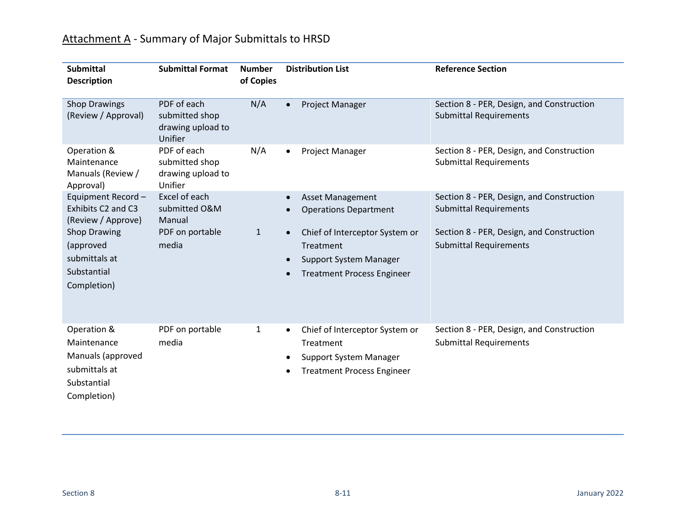| <b>Submittal</b><br><b>Description</b>                                                                                                           | <b>Submittal Format</b>                                              | <b>Number</b><br>of Copies | <b>Distribution List</b>                                                                                                                                              | <b>Reference Section</b>                                                                                                                                 |
|--------------------------------------------------------------------------------------------------------------------------------------------------|----------------------------------------------------------------------|----------------------------|-----------------------------------------------------------------------------------------------------------------------------------------------------------------------|----------------------------------------------------------------------------------------------------------------------------------------------------------|
| <b>Shop Drawings</b><br>(Review / Approval)                                                                                                      | PDF of each<br>submitted shop<br>drawing upload to<br>Unifier        | N/A                        | Project Manager                                                                                                                                                       | Section 8 - PER, Design, and Construction<br><b>Submittal Requirements</b>                                                                               |
| Operation &<br>Maintenance<br>Manuals (Review /<br>Approval)                                                                                     | PDF of each<br>submitted shop<br>drawing upload to<br>Unifier        | N/A                        | Project Manager<br>$\bullet$                                                                                                                                          | Section 8 - PER, Design, and Construction<br><b>Submittal Requirements</b>                                                                               |
| Equipment Record-<br>Exhibits C2 and C3<br>(Review / Approve)<br><b>Shop Drawing</b><br>(approved<br>submittals at<br>Substantial<br>Completion) | Excel of each<br>submitted O&M<br>Manual<br>PDF on portable<br>media | $\mathbf{1}$               | <b>Asset Management</b><br><b>Operations Department</b><br>Chief of Interceptor System or<br>Treatment<br>Support System Manager<br><b>Treatment Process Engineer</b> | Section 8 - PER, Design, and Construction<br><b>Submittal Requirements</b><br>Section 8 - PER, Design, and Construction<br><b>Submittal Requirements</b> |
| Operation &<br>Maintenance<br>Manuals (approved<br>submittals at<br>Substantial<br>Completion)                                                   | PDF on portable<br>media                                             | 1                          | Chief of Interceptor System or<br>٠<br>Treatment<br>Support System Manager<br><b>Treatment Process Engineer</b>                                                       | Section 8 - PER, Design, and Construction<br><b>Submittal Requirements</b>                                                                               |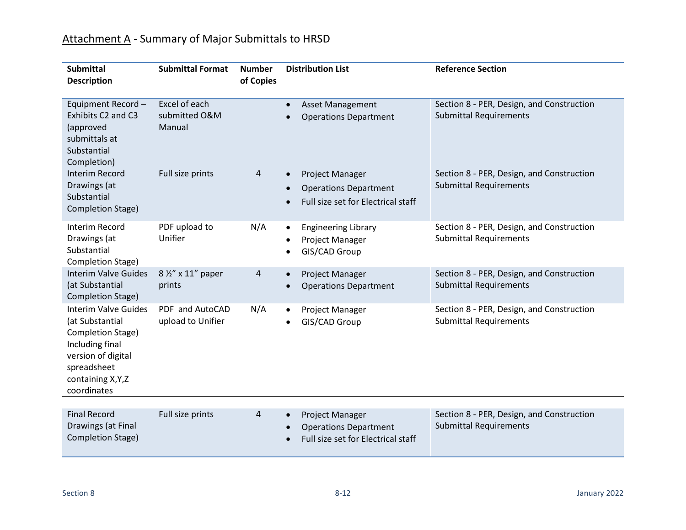| <b>Submittal</b><br><b>Description</b>                                                                                                                           | <b>Submittal Format</b>                  | <b>Number</b><br>of Copies | <b>Distribution List</b>                                                                           | <b>Reference Section</b>                                                   |
|------------------------------------------------------------------------------------------------------------------------------------------------------------------|------------------------------------------|----------------------------|----------------------------------------------------------------------------------------------------|----------------------------------------------------------------------------|
| Equipment Record-<br>Exhibits C2 and C3<br>(approved<br>submittals at<br>Substantial<br>Completion)                                                              | Excel of each<br>submitted O&M<br>Manual |                            | <b>Asset Management</b><br><b>Operations Department</b>                                            | Section 8 - PER, Design, and Construction<br><b>Submittal Requirements</b> |
| <b>Interim Record</b><br>Drawings (at<br>Substantial<br><b>Completion Stage)</b>                                                                                 | Full size prints                         | 4                          | Project Manager<br><b>Operations Department</b><br>Full size set for Electrical staff              | Section 8 - PER, Design, and Construction<br><b>Submittal Requirements</b> |
| <b>Interim Record</b><br>Drawings (at<br>Substantial<br>Completion Stage)                                                                                        | PDF upload to<br>Unifier                 | N/A                        | <b>Engineering Library</b><br>$\bullet$<br>Project Manager<br>$\bullet$<br>GIS/CAD Group           | Section 8 - PER, Design, and Construction<br><b>Submittal Requirements</b> |
| <b>Interim Valve Guides</b><br>(at Substantial<br>Completion Stage)                                                                                              | 8 1/2" x 11" paper<br>prints             | 4                          | Project Manager<br><b>Operations Department</b>                                                    | Section 8 - PER, Design, and Construction<br><b>Submittal Requirements</b> |
| <b>Interim Valve Guides</b><br>(at Substantial<br>Completion Stage)<br>Including final<br>version of digital<br>spreadsheet<br>containing X, Y, Z<br>coordinates | PDF and AutoCAD<br>upload to Unifier     | N/A                        | Project Manager<br>GIS/CAD Group                                                                   | Section 8 - PER, Design, and Construction<br><b>Submittal Requirements</b> |
| <b>Final Record</b><br>Drawings (at Final<br>Completion Stage)                                                                                                   | Full size prints                         | 4                          | Project Manager<br>$\bullet$<br><b>Operations Department</b><br>Full size set for Electrical staff | Section 8 - PER, Design, and Construction<br><b>Submittal Requirements</b> |